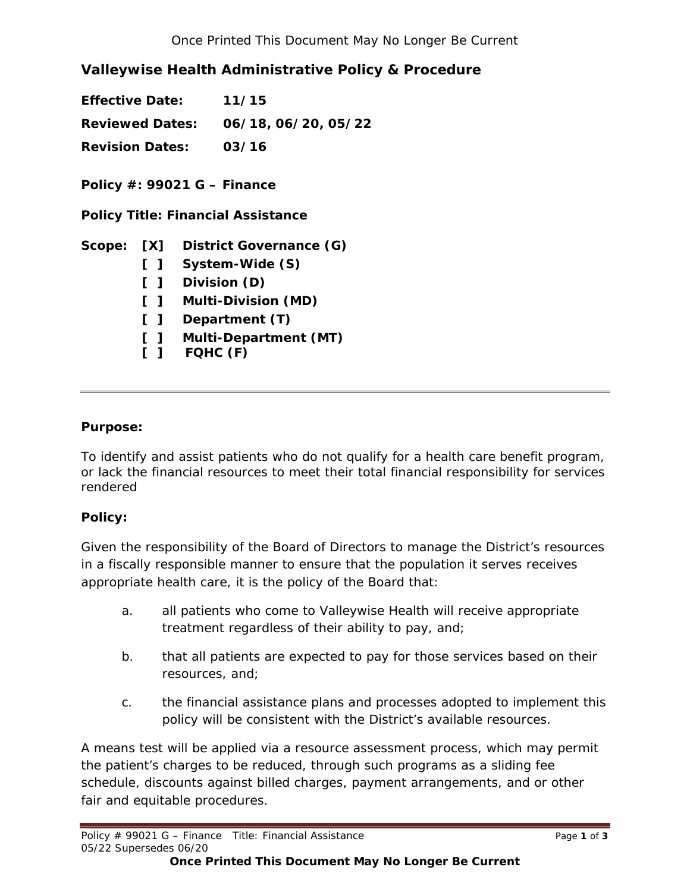# **Valleywise Health Administrative Policy & Procedure**

**Effective Date: 11/15 Reviewed Dates: 06/18, 06/20, 05/22 Revision Dates: 03/16** 

**Policy #: 99021 G – Finance** 

**Policy Title: Financial Assistance** 

# **Scope: [X] District Governance (G)**

- **[ ] System-Wide (S)**
- **[ ] Division (D)**
- **[ ] Multi-Division (MD)**
- **[ ] Department (T)**
- **[ ] Multi-Department (MT)**
- **[ ] FQHC (F)**

### **Purpose:**

To identify and assist patients who do not qualify for a health care benefit program, or lack the financial resources to meet their total financial responsibility for services rendered

## **Policy:**

Given the responsibility of the Board of Directors to manage the District's resources in a fiscally responsible manner to ensure that the population it serves receives appropriate health care, it is the policy of the Board that:

- a. all patients who come to Valleywise Health will receive appropriate treatment regardless of their ability to pay, and;
- b. that all patients are expected to pay for those services based on their resources, and;
- c. the financial assistance plans and processes adopted to implement this policy will be consistent with the District's available resources.

A means test will be applied via a resource assessment process, which may permit the patient's charges to be reduced, through such programs as a sliding fee schedule, discounts against billed charges, payment arrangements, and or other fair and equitable procedures.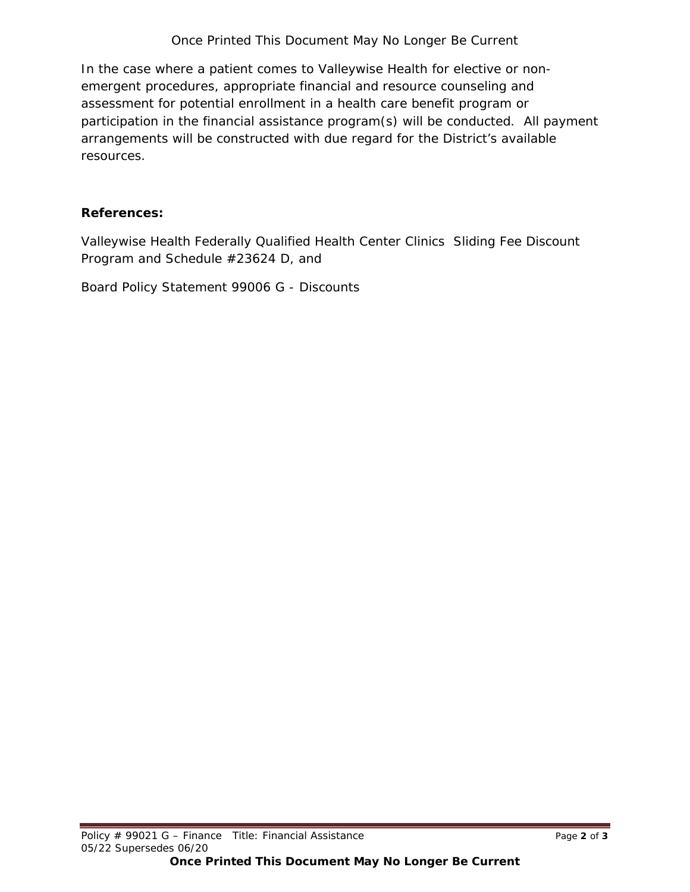## *Once Printed This Document May No Longer Be Current*

In the case where a patient comes to Valleywise Health for elective or nonemergent procedures, appropriate financial and resource counseling and assessment for potential enrollment in a health care benefit program or participation in the financial assistance program(s) will be conducted. All payment arrangements will be constructed with due regard for the District's available resources.

#### **References:**

Valleywise Health Federally Qualified Health Center Clinics Sliding Fee Discount Program and Schedule #23624 D, and

Board Policy Statement 99006 G - Discounts